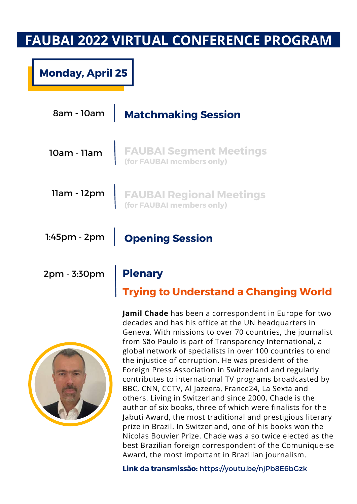# **FAUBAI 2022 VIRTUAL CONFERENCE PROGRAM**

# **Monday, April 25**

| 8am - 10am   Matchmaking Session              |
|-----------------------------------------------|
| <b>10am - 11am   FAUBAI Segment Meetings</b>  |
| <b>11am - 12pm</b>   FAUBAI Regional Meetings |
| 1:45pm - 2pm   Opening Session                |
|                                               |

# **Trying to Understand a Changing World**



**Jamil Chade** has been a correspondent in Europe for two decades and has his office at the UN headquarters in Geneva. With missions to over 70 countries, the journalist from São Paulo is part of Transparency International, a global network of specialists in over 100 countries to end the injustice of corruption. He was president of the Foreign Press Association in Switzerland and regularly contributes to international TV programs broadcasted by BBC, CNN, CCTV, Al Jazeera, France24, La Sexta and others. Living in Switzerland since 2000, Chade is the author of six books, three of which were finalists for the Jabuti Award, the most traditional and prestigious literary prize in Brazil. In Switzerland, one of his books won the Nicolas Bouvier Prize. Chade was also twice elected as the best Brazilian foreign correspondent of the Comunique-se Award, the most important in Brazilian journalism.

**Link da transmissão:** <https://youtu.be/njPb8E6bGzk>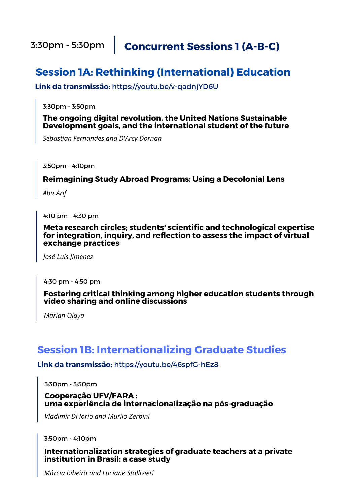### **Session 1A: Rethinking (International) Education**

**Link da transmissão:** <https://youtu.be/v-qadnjYD6U>

3:30pm - 3:50pm

**The ongoing digital revolution, the United Nations Sustainable Development goals, and the international student of the future**

*Sebastian Fernandes and D'Arcy Dornan*

3:50pm - 4:10pm

**Reimagining Study Abroad Programs: Using a Decolonial Lens**

*Abu Arif*

4:10 pm - 4:30 pm

**Meta research circles; students' scientific and technological expertise for integration, inquiry, and reflection to assess the impact of virtual exchange practices**

*José Luis Jiménez*

4:30 pm - 4:50 pm

**Fostering critical thinking among higher education students through video sharing and online discussions**

*Marian Olaya*

### **Session 1B: Internationalizing Graduate Studies**

**Link da transmissão:** <https://youtu.be/46spfG-hEz8>

3:30pm - 3:50pm

**Cooperação UFV/FARA : uma experiência de internacionalização na pós-graduação**

*Vladimir Di Iorio and Murilo Zerbini*

3:50pm - 4:10pm

**Internationalization strategies of graduate teachers at a private institution in Brasil: a case study**

*Márcia Ribeiro and Luciane Stallivieri*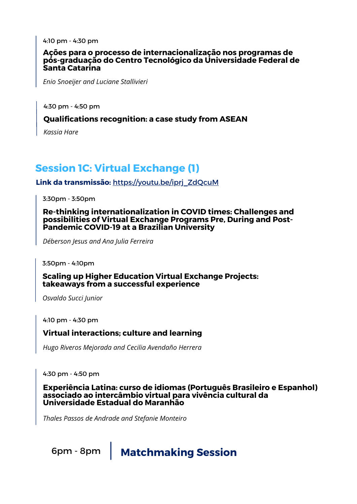4:10 pm - 4:30 pm

#### **Ações para o processo de internacionalização nos programas de pós-graduação do Centro Tecnológico da Universidade Federal de Santa Catarina**

*Enio Snoeijer and Luciane Stallivieri*

4:30 pm - 4:50 pm

#### **Qualifications recognition: a case study from ASEAN**

*Kassia Hare*

### **Session 1C: Virtual Exchange (1)**

#### **Link da transmissão:** [https://youtu.be/iprj\\_ZdQcuM](https://youtu.be/iprj_ZdQcuM)

3:30pm - 3:50pm

**Re-thinking internationalization in COVID times: Challenges and possibilities of Virtual Exchange Programs Pre, During and Post-Pandemic COVID-19 at a Brazilian University**

*Déberson Jesus and Ana Julia Ferreira*

3:50pm - 4:10pm

**Scaling up Higher Education Virtual Exchange Projects: takeaways from a successful experience**

*Osvaldo Succi Junior*

4:10 pm - 4:30 pm

#### **Virtual interactions; culture and learning**

*Hugo Riveros Mejorada and Cecilia Avendaño Herrera*

4:30 pm - 4:50 pm

**Experiência Latina: curso de idiomas (Português Brasileiro e Espanhol) associado ao intercâmbio virtual para vivência cultural da Universidade Estadual do Maranhão**

*Thales Passos de Andrade and Stefanie Monteiro*

6pm - 8pm **Matchmaking Session**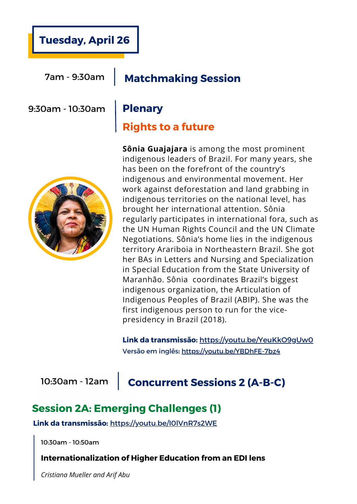### **Tuesday, April 26**

### 7am - 9:30am **Matchmaking Session**

9:30am - 10:30am **Plenary**

# **Rights to a future**



**Sônia Guajajara** is among the most prominent indigenous leaders of Brazil. For many years, she has been on the forefront of the country's indigenous and environmental movement. Her work against deforestation and land grabbing in indigenous territories on the national level, has brought her international attention. Sônia regularly participates in international fora, such as the UN Human Rights Council and the UN Climate Negotiations. Sônia's home lies in the indigenous territory Arariboia in Northeastern Brazil. She got her BAs in Letters and Nursing and Specialization in Special Education from the State University of Maranhão. Sônia coordinates Brazil's biggest indigenous organization, the Articulation of Indigenous Peoples of Brazil (ABIP). She was the first indigenous person to run for the vicepresidency in Brazil (2018).

**Link da transmissão:** <https://youtu.be/YeuKkO9gUw0> Versão em inglês**:** <https://youtu.be/YBDhFE-7bz4>

## 10:30am - 12am **Concurrent Sessions 2 (A-B-C)**

### **Session 2A: Emerging Challenges (1)**

### **Link da transmissão:** <https://youtu.be/I0lVnR7s2WE>

10:30am - 10:50am

### **Internationalization of Higher Education from an EDI lens**

*Cristiana Mueller and Arif Abu*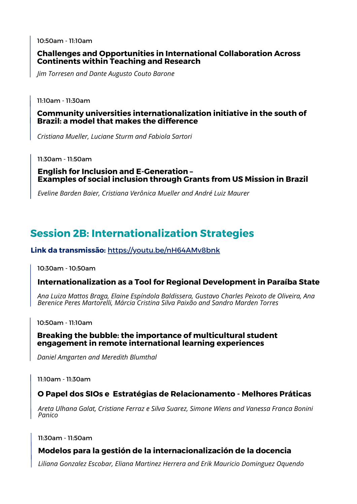10:50am - 11:10am

#### **Challenges and Opportunities in International Collaboration Across Continents within Teaching and Research**

*Jim Torresen and Dante Augusto Couto Barone*

#### 11:10am - 11:30am

**Community universities internationalization initiative in the south of Brazil: a model that makes the difference**

*Cristiana Mueller, Luciane Sturm and Fabiola Sartori*

11:30am - 11:50am

### **English for Inclusion and E-Generation – Examples of social inclusion through Grants from US Mission in Brazil**

*Eveline Barden Baier, Cristiana Verônica Mueller and André Luiz Maurer*

### **Session 2B: Internationalization Strategies**

### **Link da transmissão:** <https://youtu.be/nH64AMv8bnk>

10:30am - 10:50am

### **Internationalization as a Tool for Regional Development in Paraíba State**

*Ana Luiza Mattos Braga, Elaine Espíndola Baldissera, Gustavo Charles Peixoto de Oliveira, Ana Berenice Peres Martorelli, Márcia Cristina Silva Paixão and Sandro Marden Torres*

10:50am - 11:10am

#### **Breaking the bubble: the importance of multicultural student engagement in remote international learning experiences**

*Daniel Amgarten and Meredith Blumthal*

11:10am - 11:30am

### **O Papel dos SIOs e Estratégias de Relacionamento - Melhores Práticas**

*Areta Ulhana Galat, Cristiane Ferraz e Silva Suarez, Simone Wiens and Vanessa Franca Bonini Panico*

#### 11:30am - 11:50am

### **Modelos para la gestión de la internacionalización de la docencia**

*Liliana Gonzalez Escobar, Eliana Martinez Herrera and Erik Mauricio Dominguez Oquendo*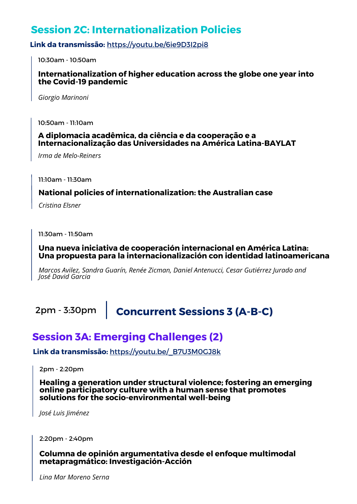### **Session 2C: Internationalization Policies**

**Link da transmissão:** <https://youtu.be/6ie9D3I2pi8>

10:30am - 10:50am

**Internationalization of higher education across the globe one year into the Covid-19 pandemic**

*Giorgio Marinoni*

10:50am - 11:10am

**A diplomacia acadêmica, da ciência e da cooperação e a Internacionalização das Universidades na América Latina-BAYLAT**

*Irma de Melo-Reiners*

11:10am - 11:30am

### **National policies of internationalization: the Australian case**

*Cristina Elsner*

11:30am - 11:50am

#### **Una nueva iniciativa de cooperación internacional en América Latina: Una propuesta para la internacionalización con identidad latinoamericana**

*Marcos Avilez, Sandra Guarín, Renée Zicman, Daniel Antenucci, Cesar Gutiérrez Jurado and José David Garcia*

2pm - 3:30pm **Concurrent Sessions 3 (A-B-C)**

### **Session 3A: Emerging Challenges (2)**

### **Link da transmissão:** [https://youtu.be/\\_B7U3M0GJ8k](https://youtu.be/_B7U3M0GJ8k)

2pm - 2:20pm

**Healing a generation under structural violence; fostering an emerging online participatory culture with a human sense that promotes solutions for the socio-environmental well-being**

*José Luis Jiménez*

2:20pm - 2:40pm

**Columna de opinión argumentativa desde el enfoque multimodal metapragmático: Investigación-Acción**

*Lina Mar Moreno Serna*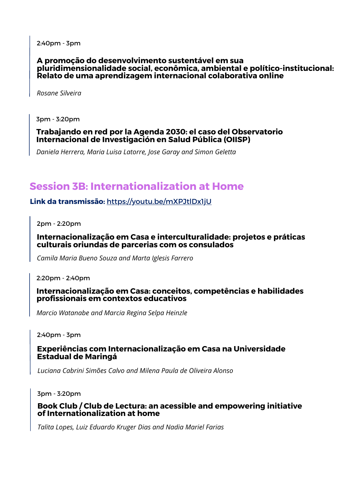2:40pm - 3pm

#### **A promoção do desenvolvimento sustentável em sua pluridimensionalidade social, econômica, ambiental e político-institucional: Relato de uma aprendizagem internacional colaborativa online**

*Rosane Silveira*

3pm - 3:20pm

#### **Trabajando en red por la Agenda 2030: el caso del Observatorio Internacional de Investigación en Salud Pública (OIISP)**

*Daniela Herrera, Maria Luisa Latorre, Jose Garay and Simon Geletta*

### **Session 3B: Internationalization at Home**

### **Link da transmissão:** <https://youtu.be/mXPJtlDx1jU>

2pm - 2:20pm

**Internacionalização em Casa e interculturalidade: projetos e práticas culturais oriundas de parcerias com os consulados**

*Camila Maria Bueno Souza and Marta Iglesis Farrero*

2:20pm - 2:40pm

**Internacionalização em Casa: conceitos, competências e habilidades profissionais em contextos educativos**

*Marcio Watanabe and Marcia Regina Selpa Heinzle*

2:40pm - 3pm

#### **Experiências com Internacionalização em Casa na Universidade Estadual de Maringá**

*Luciana Cabrini Simões Calvo and Milena Paula de Oliveira Alonso*

3pm - 3:20pm

#### **Book Club / Club de Lectura: an acessible and empowering initiative of Internationalization at home**

*Talita Lopes, Luiz Eduardo Kruger Dias and Nadia Mariel Farias*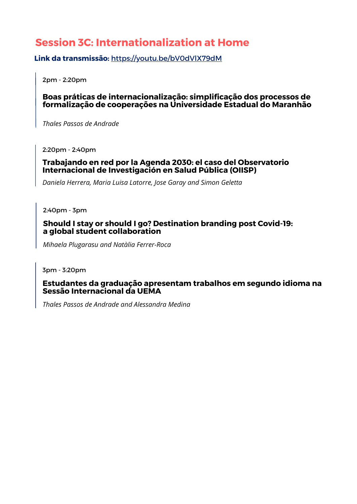### **Session 3C: Internationalization at Home**

**Link da transmissão:** <https://youtu.be/bV0dVlX79dM>

2pm - 2:20pm

#### **Boas práticas de internacionalização: simplificação dos processos de formalização de cooperações na Universidade Estadual do Maranhão**

*Thales Passos de Andrade*

2:20pm - 2:40pm

### **Trabajando en red por la Agenda 2030: el caso del Observatorio Internacional de Investigación en Salud Pública (OIISP)**

*Daniela Herrera, Maria Luisa Latorre, Jose Garay and Simon Geletta*

2:40pm - 3pm

#### **Should I stay or should I go? Destination branding post Covid-19: a global student collaboration**

*Mihaela Plugarasu and Natàlia Ferrer-Roca*

3pm - 3:20pm

**Estudantes da graduação apresentam trabalhos em segundo idioma na Sessão Internacional da UEMA**

*Thales Passos de Andrade and Alessandra Medina*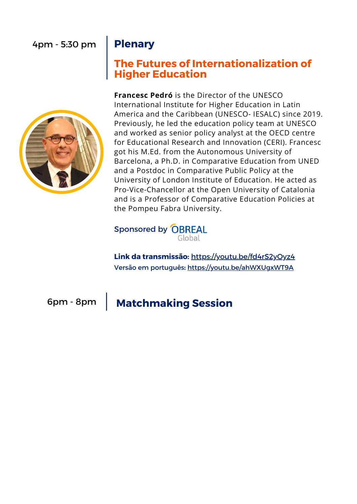### 4pm - 5:30 pm **Plenary**



### **The Futures of Internationalization of Higher Education**

**Francesc Pedró** is the Director of the UNESCO International Institute for Higher Education in Latin America and the Caribbean (UNESCO- IESALC) since 2019. Previously, he led the education policy team at UNESCO and worked as senior policy analyst at the OECD centre for Educational Research and Innovation (CERI). Francesc got his M.Ed. from the Autonomous University of Barcelona, a Ph.D. in Comparative Education from UNED and a Postdoc in Comparative Public Policy at the University of London Institute of Education. He acted as Pro-Vice-Chancellor at the Open University of Catalonia and is a Professor of Comparative Education Policies at the Pompeu Fabra University.

Sponsored by OBREAL Global

**Link da transmissão:** <https://youtu.be/fd4rS2yOyz4> Versão em português**:** <https://youtu.be/ahWXUgxWT9A>

### 6pm - 8pm **Matchmaking Session**

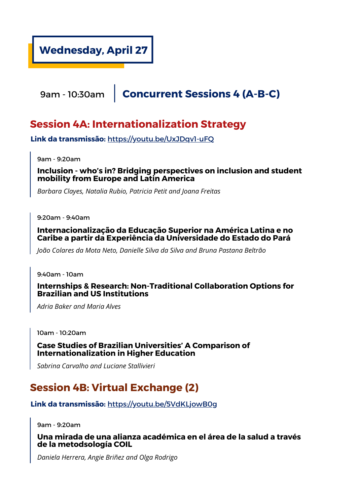

### 9am - 10:30am **Concurrent Sessions 4 (A-B-C)**

### **Session 4A: Internationalization Strategy**

**Link da transmissão:** <https://youtu.be/UxJDqv1-uFQ>

9am - 9:20am

**Inclusion - who's in? Bridging perspectives on inclusion and student mobility from Europe and Latin America**

*Barbara Clayes, Natalia Rubio, Patricia Petit and Joana Freitas*

9:20am - 9:40am

#### **Internacionalização da Educação Superior na América Latina e no Caribe a partir da Experiência da Universidade do Estado do Pará**

*João Colares da Mota Neto, Danielle Silva da Silva and Bruna Pastana Beltrão*

9:40am - 10am

**Internships & Research: Non-Traditional Collaboration Options for Brazilian and US Institutions**

*Adria Baker and Maria Alves*

10am - 10:20am

**Case Studies of Brazilian Universities' A Comparison of Internationalization in Higher Education**

*Sabrina Carvalho and Luciane Stallivieri*

### **Session 4B: Virtual Exchange (2)**

**Link da transmissão:** <https://youtu.be/5VdKLjowB0g>

9am - 9:20am

**Una mirada de una alianza académica en el área de la salud a través de la metodsología COIL**

*Daniela Herrera, Angie Briñez and Olga Rodrigo*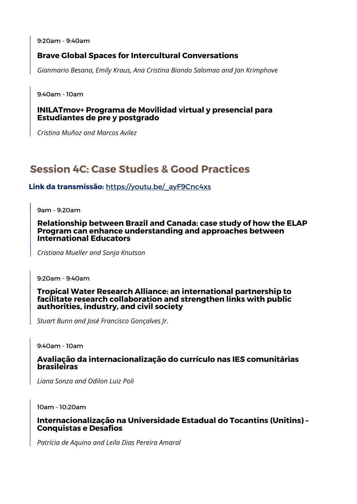9:20am - 9:40am

### **Brave Global Spaces for Intercultural Conversations**

*Gianmario Besana, Emily Kraus, Ana Cristina Biondo Salomao and Jan Krimphove*

9:40am - 10am

#### **INILATmov+ Programa de Movilidad virtual y presencial para Estudiantes de pre y postgrado**

*Cristina Muñoz and Marcos Avilez*

### **Session 4C: Case Studies & Good Practices**

### **Link da transmissão:** [https://youtu.be/\\_ayF9Cnc4xs](https://youtu.be/_ayF9Cnc4xs)

9am - 9:20am

**Relationship between Brazil and Canada: case study of how the ELAP Program can enhance understanding and approaches between International Educators**

*Cristiana Mueller and Sonja Knutson*

9:20am - 9:40am

**Tropical Water Research Alliance: an international partnership to facilitate research collaboration and strengthen links with public authorities, industry, and civil society**

*Stuart Bunn and José Francisco Gonçalves Jr.*

9:40am - 10am

#### **Avaliação da internacionalização do currículo nas IES comunitárias brasileiras**

*Liana Sonza and Odilon Luiz Poli*

10am - 10:20am

**Internacionalização na Universidade Estadual do Tocantins (Unitins) – Conquistas e Desafios**

*Patrícia de Aquino and Leila Dias Pereira Amaral*